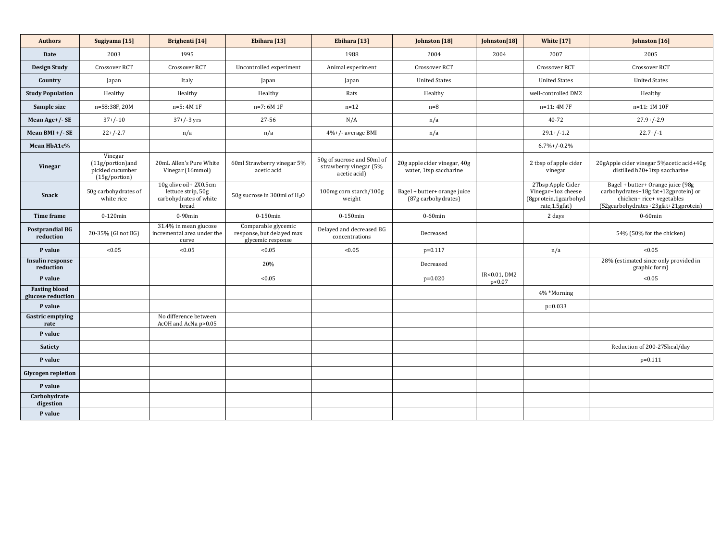| <b>Authors</b>                            | Sugiyama [15]                                                    | <b>Brighenti</b> [14]                                                          | Ebihara [13]                                                          | Ebihara [13]                                                         | Johnston [18]                                          | Johnston[18]           | <b>White [17]</b>                                                                  | Johnston [16]                                                                                                                                  |  |
|-------------------------------------------|------------------------------------------------------------------|--------------------------------------------------------------------------------|-----------------------------------------------------------------------|----------------------------------------------------------------------|--------------------------------------------------------|------------------------|------------------------------------------------------------------------------------|------------------------------------------------------------------------------------------------------------------------------------------------|--|
| <b>Date</b>                               | 2003                                                             | 1995                                                                           |                                                                       | 1988                                                                 | 2004                                                   | 2004<br>2007           |                                                                                    | 2005                                                                                                                                           |  |
| <b>Design Study</b>                       | <b>Crossover RCT</b>                                             | <b>Crossover RCT</b>                                                           | Uncontrolled experiment                                               | Animal experiment                                                    | <b>Crossover RCT</b>                                   |                        | Crossover RCT                                                                      | Crossover RCT                                                                                                                                  |  |
| Country                                   | Japan                                                            | Italy                                                                          | Japan                                                                 | Japan                                                                | <b>United States</b>                                   |                        | <b>United States</b>                                                               | <b>United States</b>                                                                                                                           |  |
| <b>Study Population</b>                   | Healthy                                                          | Healthy                                                                        | Healthy                                                               | Rats                                                                 | Healthy                                                |                        | well-controlled DM2                                                                | Healthy                                                                                                                                        |  |
| Sample size                               | n=58:38F, 20M                                                    | $n=5:4M1F$                                                                     | $n=7:6M1F$                                                            | $n=12$                                                               | $n=8$                                                  |                        | $n=11:4M7F$                                                                        | n=11:1M 10F                                                                                                                                    |  |
| Mean Age+/- SE                            | $37+/-10$                                                        | $37+/-3$ yrs                                                                   | 27-56                                                                 | N/A                                                                  | n/a                                                    |                        | 40-72                                                                              | $27.9+/-2.9$                                                                                                                                   |  |
| Mean BMI $+/-$ SE                         | $22+/-2.7$                                                       | n/a                                                                            | n/a                                                                   | $4\%+/-$ average BMI                                                 | n/a                                                    | $29.1 + (-1.2)$        |                                                                                    | $22.7+/-1$                                                                                                                                     |  |
| Mean HbA1c%                               |                                                                  |                                                                                |                                                                       |                                                                      |                                                        |                        | $6.7\% + (-0.2\%$                                                                  |                                                                                                                                                |  |
| <b>Vinegar</b>                            | Vinegar<br>(11g/portion)and<br>pickled cucumber<br>(15g/portion) | 20mL Allen's Pure White<br>Vinegar (16mmol)                                    | 60ml Strawberry vinegar 5%<br>acetic acid                             | 50g of sucrose and 50ml of<br>strawberry vinegar (5%<br>acetic acid) | 20g apple cider vinegar, 40g<br>water, 1tsp saccharine |                        | 2 tbsp of apple cider<br>vinegar                                                   | 20gApple cider vinegar 5% acetic acid+40g<br>distilled h20+1tsp saccharine                                                                     |  |
| <b>Snack</b>                              | 50g carbohydrates of<br>white rice                               | 10g olive oil+2X0.5cm<br>lettuce strip, 50g<br>carbohydrates of white<br>bread | 50g sucrose in 300ml of H <sub>2</sub> O                              | 100mg corn starch/100g<br>weight                                     | Bagel + butter+ orange juice<br>(87g carbohydrates)    |                        | 2Tbsp Apple Cider<br>Vinegar+1oz cheese<br>(8gprotein,1gcarbohyd<br>rate, 1.5gfat) | Bagel + butter+ Orange juice (98g<br>carbohydrates+18g fat+12gprotein) or<br>chicken+ rice+ vegetables<br>(52gcarbohydrates+23gfat+21gprotein) |  |
| Time frame                                | $0-120$ min                                                      | $0-90$ min                                                                     | $0-150$ min                                                           | $0-150$ min                                                          | $0-60$ min                                             | 2 days                 |                                                                                    | $0-60$ min                                                                                                                                     |  |
| <b>Postprandial BG</b><br>reduction       | 20-35% (GI not BG)                                               | 31.4% in mean glucose<br>incremental area under the<br>curve                   | Comparable glycemic<br>response, but delayed max<br>glycemic response | Delayed and decreased BG<br>concentrations                           | Decreased                                              |                        |                                                                                    | 54% (50% for the chicken)                                                                                                                      |  |
| P value                                   | < 0.05                                                           | < 0.05                                                                         | < 0.05                                                                | < 0.05                                                               | $p=0.117$                                              | n/a                    |                                                                                    | < 0.05                                                                                                                                         |  |
| <b>Insulin response</b><br>reduction      |                                                                  |                                                                                | 20%                                                                   |                                                                      | Decreased                                              |                        |                                                                                    | 28% (estimated since only provided in<br>graphic form)                                                                                         |  |
| P value                                   |                                                                  |                                                                                | < 0.05                                                                |                                                                      | $p=0.020$                                              | IR<0.01, DM2<br>p<0.07 |                                                                                    | < 0.05                                                                                                                                         |  |
| <b>Fasting blood</b><br>glucose reduction |                                                                  |                                                                                |                                                                       |                                                                      |                                                        |                        | 4% *Morning                                                                        |                                                                                                                                                |  |
| P value                                   |                                                                  |                                                                                |                                                                       |                                                                      |                                                        |                        | $p=0.033$                                                                          |                                                                                                                                                |  |
| <b>Gastric emptying</b><br>rate           |                                                                  | No difference between<br>AcOH and AcNa p>0.05                                  |                                                                       |                                                                      |                                                        |                        |                                                                                    |                                                                                                                                                |  |
| P value                                   |                                                                  |                                                                                |                                                                       |                                                                      |                                                        |                        |                                                                                    |                                                                                                                                                |  |
| Satiety                                   |                                                                  |                                                                                |                                                                       |                                                                      |                                                        |                        |                                                                                    | Reduction of 200-275kcal/day                                                                                                                   |  |
| P value                                   |                                                                  |                                                                                |                                                                       |                                                                      |                                                        |                        |                                                                                    | $p=0.111$                                                                                                                                      |  |
| <b>Glycogen repletion</b>                 |                                                                  |                                                                                |                                                                       |                                                                      |                                                        |                        |                                                                                    |                                                                                                                                                |  |
| P value                                   |                                                                  |                                                                                |                                                                       |                                                                      |                                                        |                        |                                                                                    |                                                                                                                                                |  |
| Carbohydrate<br>digestion                 |                                                                  |                                                                                |                                                                       |                                                                      |                                                        |                        |                                                                                    |                                                                                                                                                |  |
| P value                                   |                                                                  |                                                                                |                                                                       |                                                                      |                                                        |                        |                                                                                    |                                                                                                                                                |  |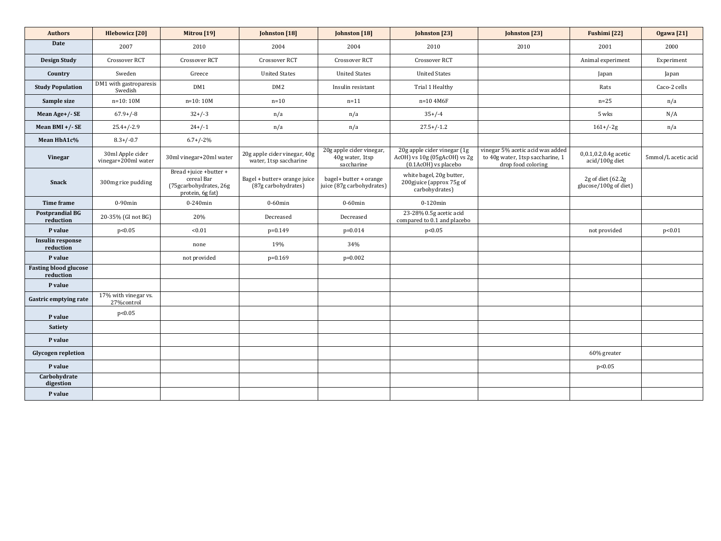| <b>Authors</b>                            | <b>Hlebowicz</b> [20]                   | Mitrou [19]                                                                        | Johnston [18]                                          | Johnston [18]                                             | Johnston [23]                                                                       | Johnston [23]                                                                              | <b>Fushimi</b> [22]                        | <b>Ogawa</b> [21]   |
|-------------------------------------------|-----------------------------------------|------------------------------------------------------------------------------------|--------------------------------------------------------|-----------------------------------------------------------|-------------------------------------------------------------------------------------|--------------------------------------------------------------------------------------------|--------------------------------------------|---------------------|
| <b>Date</b>                               | 2007                                    | 2010                                                                               | 2004                                                   | 2004                                                      | 2010                                                                                | 2010                                                                                       | 2001                                       | 2000                |
| <b>Design Study</b>                       | <b>Crossover RCT</b>                    | <b>Crossover RCT</b>                                                               | Crossover RCT                                          | Crossover RCT                                             | Crossover RCT                                                                       |                                                                                            | Animal experiment                          | Experiment          |
| Country                                   | Sweden                                  | Greece                                                                             | <b>United States</b>                                   | <b>United States</b>                                      | <b>United States</b>                                                                |                                                                                            | Japan                                      | Japan               |
| <b>Study Population</b>                   | DM1 with gastroparesis<br>Swedish       | DM1                                                                                | DM <sub>2</sub>                                        | Insulin resistant                                         | Trial 1 Healthy                                                                     |                                                                                            | Rats                                       | Caco-2 cells        |
| Sample size                               | $n=10:10M$                              | $n=10:10M$                                                                         | $n=10$                                                 | $n=11$                                                    | $n=10$ 4M6F                                                                         |                                                                                            | $n=25$                                     | n/a                 |
| Mean Age+/- SE                            | $67.9+/-8$                              | $32+/-3$                                                                           | n/a                                                    | n/a                                                       | $35+/-4$                                                                            |                                                                                            | 5 wks                                      | N/A                 |
| Mean BMI $+/-$ SE                         | $25.4 + (-2.9)$                         | $24+/-1$                                                                           | n/a                                                    | n/a                                                       | $27.5+/-1.2$                                                                        |                                                                                            | $161 + (-2g)$                              | n/a                 |
| Mean HbA1c%                               | $8.3 + (-0.7)$                          | $6.7+/-2\%$                                                                        |                                                        |                                                           |                                                                                     |                                                                                            |                                            |                     |
| <b>Vinegar</b>                            | 30ml Apple cider<br>vinegar+200ml water | 30ml vinegar+20ml water                                                            | 20g apple cider vinegar, 40g<br>water, 1tsp saccharine | 20g apple cider vinegar,<br>40g water, 1tsp<br>saccharine | 20g apple cider vinegar (1g<br>AcOH) vs 10g (05gAcOH) vs 2g<br>(0.1AcOH) vs placebo | vinegar 5% acetic acid was added<br>to 40g water, 1tsp saccharine, 1<br>drop food coloring | 0,0.1,0.2,0.4g acetic<br>acid/100g diet    | 5mmol/L acetic acid |
| <b>Snack</b>                              | 300mg rice pudding                      | Bread +juice +butter +<br>cereal Bar<br>(75gcarbohydrates, 26g<br>protein, 6g fat) | Bagel + butter+ orange juice<br>(87g carbohydrates)    | bagel+ butter + orange<br>juice (87g carbohydrates)       | white bagel, 20g butter,<br>200gjuice (approx 75g of<br>carbohydrates)              |                                                                                            | 2g of diet (62.2g<br>glucose/100g of diet) |                     |
| <b>Time frame</b>                         | $0-90$ min                              | $0-240$ min                                                                        | $0-60$ min                                             | $0-60$ min                                                | $0-120$ min                                                                         |                                                                                            |                                            |                     |
| <b>Postprandial BG</b><br>reduction       | 20-35% (GI not BG)                      | 20%                                                                                | Decreased                                              | Decreased                                                 | 23-28% 0.5g acetic acid<br>compared to 0.1 and placebo                              |                                                                                            |                                            |                     |
| P value                                   | p<0.05                                  | < 0.01                                                                             | $p=0.149$                                              | $p=0.014$                                                 | p<0.05                                                                              |                                                                                            | not provided                               | p<0.01              |
| <b>Insulin response</b><br>reduction      |                                         | none                                                                               | 19%                                                    | 34%                                                       |                                                                                     |                                                                                            |                                            |                     |
| P value                                   |                                         | not provided                                                                       | $p=0.169$                                              | $p=0.002$                                                 |                                                                                     |                                                                                            |                                            |                     |
| <b>Fasting blood glucose</b><br>reduction |                                         |                                                                                    |                                                        |                                                           |                                                                                     |                                                                                            |                                            |                     |
| P value                                   |                                         |                                                                                    |                                                        |                                                           |                                                                                     |                                                                                            |                                            |                     |
| <b>Gastric emptying rate</b>              | 17% with vinegar vs.<br>27% control     |                                                                                    |                                                        |                                                           |                                                                                     |                                                                                            |                                            |                     |
| P value                                   | p<0.05                                  |                                                                                    |                                                        |                                                           |                                                                                     |                                                                                            |                                            |                     |
| <b>Satiety</b>                            |                                         |                                                                                    |                                                        |                                                           |                                                                                     |                                                                                            |                                            |                     |
| P value                                   |                                         |                                                                                    |                                                        |                                                           |                                                                                     |                                                                                            |                                            |                     |
| <b>Glycogen repletion</b>                 |                                         |                                                                                    |                                                        |                                                           |                                                                                     |                                                                                            | 60% greater                                |                     |
| P value                                   |                                         |                                                                                    |                                                        |                                                           |                                                                                     |                                                                                            | p<0.05                                     |                     |
| Carbohydrate<br>digestion                 |                                         |                                                                                    |                                                        |                                                           |                                                                                     |                                                                                            |                                            |                     |
| P value                                   |                                         |                                                                                    |                                                        |                                                           |                                                                                     |                                                                                            |                                            |                     |